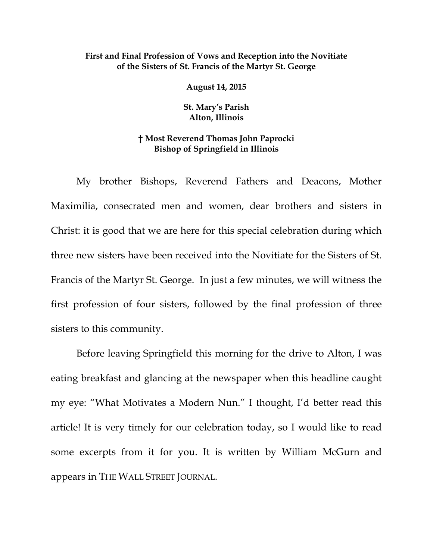## **First and Final Profession of Vows and Reception into the Novitiate of the Sisters of St. Francis of the Martyr St. George**

**August 14, 2015** 

**St. Mary's Parish Alton, Illinois** 

## **† Most Reverend Thomas John Paprocki Bishop of Springfield in Illinois**

My brother Bishops, Reverend Fathers and Deacons, Mother Maximilia, consecrated men and women, dear brothers and sisters in Christ: it is good that we are here for this special celebration during which three new sisters have been received into the Novitiate for the Sisters of St. Francis of the Martyr St. George. In just a few minutes, we will witness the first profession of four sisters, followed by the final profession of three sisters to this community.

Before leaving Springfield this morning for the drive to Alton, I was eating breakfast and glancing at the newspaper when this headline caught my eye: "What Motivates a Modern Nun." I thought, I'd better read this article! It is very timely for our celebration today, so I would like to read some excerpts from it for you. It is written by William McGurn and appears in THE WALL STREET JOURNAL.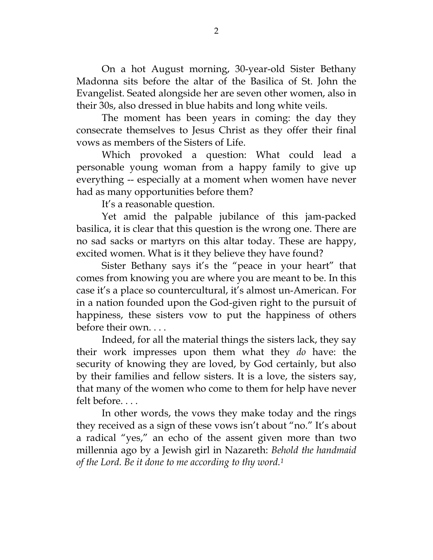On a hot August morning, 30-year-old Sister Bethany Madonna sits before the altar of the Basilica of St. John the Evangelist. Seated alongside her are seven other women, also in their 30s, also dressed in blue habits and long white veils.

The moment has been years in coming: the day they consecrate themselves to Jesus Christ as they offer their final vows as members of the Sisters of Life.

Which provoked a question: What could lead a personable young woman from a happy family to give up everything -- especially at a moment when women have never had as many opportunities before them?

It's a reasonable question.

Yet amid the palpable jubilance of this jam-packed basilica, it is clear that this question is the wrong one. There are no sad sacks or martyrs on this altar today. These are happy, excited women. What is it they believe they have found?

Sister Bethany says it's the "peace in your heart" that comes from knowing you are where you are meant to be. In this case it's a place so countercultural, it's almost un-American. For in a nation founded upon the God-given right to the pursuit of happiness, these sisters vow to put the happiness of others before their own. . . .

Indeed, for all the material things the sisters lack, they say their work impresses upon them what they *do* have: the security of knowing they are loved, by God certainly, but also by their families and fellow sisters. It is a love, the sisters say, that many of the women who come to them for help have never felt before. . . .

In other words, the vows they make today and the rings they received as a sign of these vows isn't about "no." It's about a radical "yes," an echo of the assent given more than two millennia ago by a Jewish girl in Nazareth: *Behold the handmaid of the Lord. Be it done to me according to thy word.1*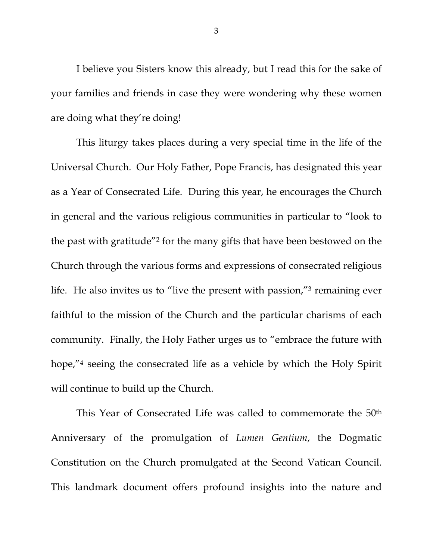I believe you Sisters know this already, but I read this for the sake of your families and friends in case they were wondering why these women are doing what they're doing!

This liturgy takes places during a very special time in the life of the Universal Church. Our Holy Father, Pope Francis, has designated this year as a Year of Consecrated Life. During this year, he encourages the Church in general and the various religious communities in particular to "look to the past with gratitude"2 for the many gifts that have been bestowed on the Church through the various forms and expressions of consecrated religious life. He also invites us to "live the present with passion,"3 remaining ever faithful to the mission of the Church and the particular charisms of each community. Finally, the Holy Father urges us to "embrace the future with hope,"4 seeing the consecrated life as a vehicle by which the Holy Spirit will continue to build up the Church.

This Year of Consecrated Life was called to commemorate the 50th Anniversary of the promulgation of *Lumen Gentium*, the Dogmatic Constitution on the Church promulgated at the Second Vatican Council. This landmark document offers profound insights into the nature and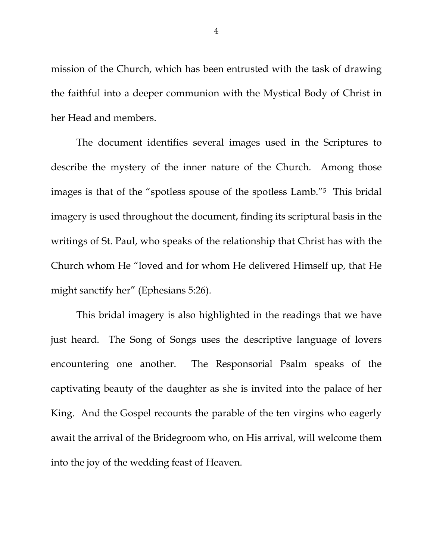mission of the Church, which has been entrusted with the task of drawing the faithful into a deeper communion with the Mystical Body of Christ in her Head and members.

The document identifies several images used in the Scriptures to describe the mystery of the inner nature of the Church. Among those images is that of the "spotless spouse of the spotless Lamb."5 This bridal imagery is used throughout the document, finding its scriptural basis in the writings of St. Paul, who speaks of the relationship that Christ has with the Church whom He "loved and for whom He delivered Himself up, that He might sanctify her" (Ephesians 5:26).

This bridal imagery is also highlighted in the readings that we have just heard. The Song of Songs uses the descriptive language of lovers encountering one another. The Responsorial Psalm speaks of the captivating beauty of the daughter as she is invited into the palace of her King. And the Gospel recounts the parable of the ten virgins who eagerly await the arrival of the Bridegroom who, on His arrival, will welcome them into the joy of the wedding feast of Heaven.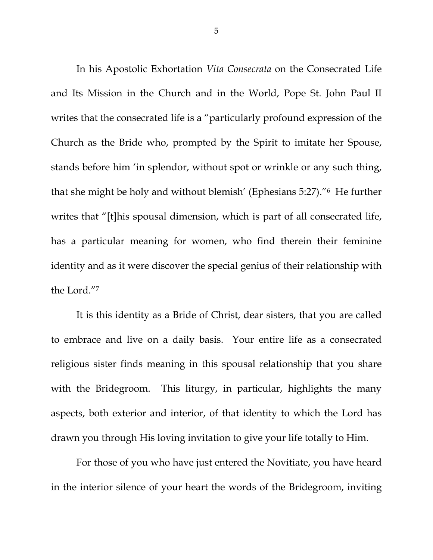In his Apostolic Exhortation *Vita Consecrata* on the Consecrated Life and Its Mission in the Church and in the World, Pope St. John Paul II writes that the consecrated life is a "particularly profound expression of the Church as the Bride who, prompted by the Spirit to imitate her Spouse, stands before him 'in splendor, without spot or wrinkle or any such thing, that she might be holy and without blemish' (Ephesians 5:27)."6 He further writes that "[t]his spousal dimension, which is part of all consecrated life, has a particular meaning for women, who find therein their feminine identity and as it were discover the special genius of their relationship with the Lord."7

It is this identity as a Bride of Christ, dear sisters, that you are called to embrace and live on a daily basis. Your entire life as a consecrated religious sister finds meaning in this spousal relationship that you share with the Bridegroom. This liturgy, in particular, highlights the many aspects, both exterior and interior, of that identity to which the Lord has drawn you through His loving invitation to give your life totally to Him.

For those of you who have just entered the Novitiate, you have heard in the interior silence of your heart the words of the Bridegroom, inviting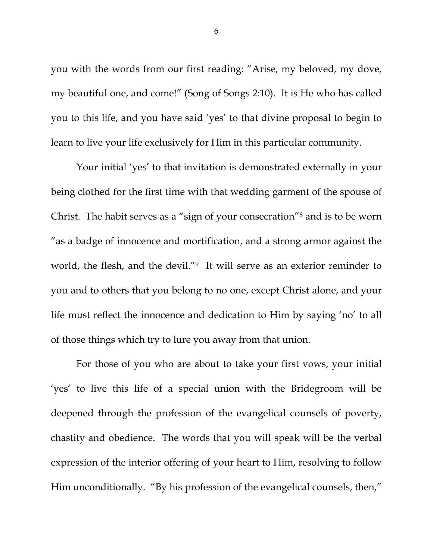you with the words from our first reading: "Arise, my beloved, my dove, my beautiful one, and come!" (Song of Songs 2:10). It is He who has called you to this life, and you have said 'yes' to that divine proposal to begin to learn to live your life exclusively for Him in this particular community.

Your initial 'yes' to that invitation is demonstrated externally in your being clothed for the first time with that wedding garment of the spouse of Christ. The habit serves as a "sign of your consecration"8 and is to be worn "as a badge of innocence and mortification, and a strong armor against the world, the flesh, and the devil."9 It will serve as an exterior reminder to you and to others that you belong to no one, except Christ alone, and your life must reflect the innocence and dedication to Him by saying 'no' to all of those things which try to lure you away from that union.

For those of you who are about to take your first vows, your initial 'yes' to live this life of a special union with the Bridegroom will be deepened through the profession of the evangelical counsels of poverty, chastity and obedience. The words that you will speak will be the verbal expression of the interior offering of your heart to Him, resolving to follow Him unconditionally. "By his profession of the evangelical counsels, then,"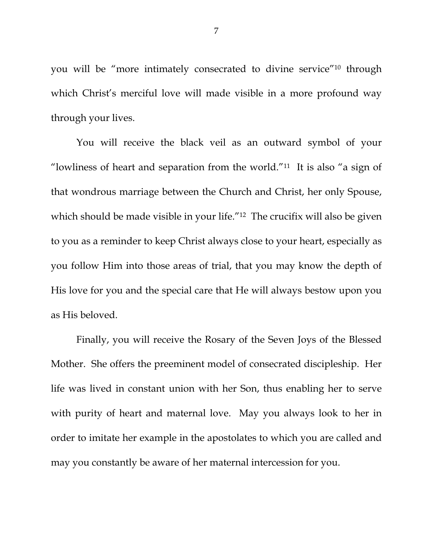you will be "more intimately consecrated to divine service"10 through which Christ's merciful love will made visible in a more profound way through your lives.

You will receive the black veil as an outward symbol of your "lowliness of heart and separation from the world."11 It is also "a sign of that wondrous marriage between the Church and Christ, her only Spouse, which should be made visible in your life."<sup>12</sup> The crucifix will also be given to you as a reminder to keep Christ always close to your heart, especially as you follow Him into those areas of trial, that you may know the depth of His love for you and the special care that He will always bestow upon you as His beloved.

Finally, you will receive the Rosary of the Seven Joys of the Blessed Mother. She offers the preeminent model of consecrated discipleship. Her life was lived in constant union with her Son, thus enabling her to serve with purity of heart and maternal love. May you always look to her in order to imitate her example in the apostolates to which you are called and may you constantly be aware of her maternal intercession for you.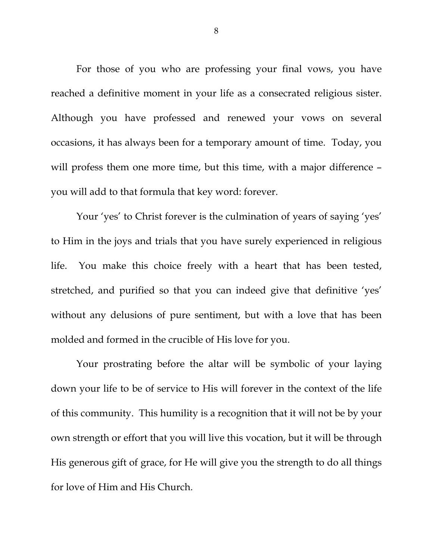For those of you who are professing your final vows, you have reached a definitive moment in your life as a consecrated religious sister. Although you have professed and renewed your vows on several occasions, it has always been for a temporary amount of time. Today, you will profess them one more time, but this time, with a major difference – you will add to that formula that key word: forever.

Your 'yes' to Christ forever is the culmination of years of saying 'yes' to Him in the joys and trials that you have surely experienced in religious life. You make this choice freely with a heart that has been tested, stretched, and purified so that you can indeed give that definitive 'yes' without any delusions of pure sentiment, but with a love that has been molded and formed in the crucible of His love for you.

Your prostrating before the altar will be symbolic of your laying down your life to be of service to His will forever in the context of the life of this community. This humility is a recognition that it will not be by your own strength or effort that you will live this vocation, but it will be through His generous gift of grace, for He will give you the strength to do all things for love of Him and His Church.

8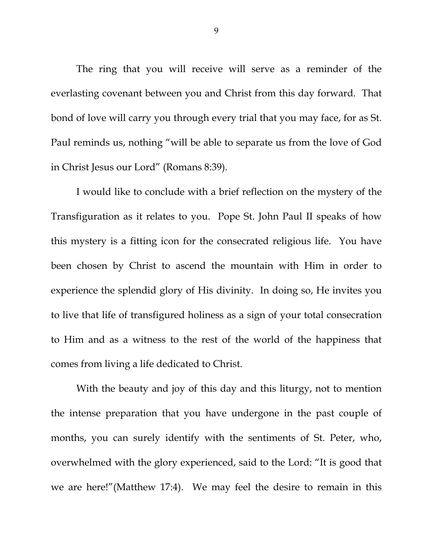The ring that you will receive will serve as a reminder of the everlasting covenant between you and Christ from this day forward. That bond of love will carry you through every trial that you may face, for as St. Paul reminds us, nothing "will be able to separate us from the love of God in Christ Jesus our Lord" (Romans 8:39).

I would like to conclude with a brief reflection on the mystery of the Transfiguration as it relates to you. Pope St. John Paul II speaks of how this mystery is a fitting icon for the consecrated religious life. You have been chosen by Christ to ascend the mountain with Him in order to experience the splendid glory of His divinity. In doing so, He invites you to live that life of transfigured holiness as a sign of your total consecration to Him and as a witness to the rest of the world of the happiness that comes from living a life dedicated to Christ.

With the beauty and joy of this day and this liturgy, not to mention the intense preparation that you have undergone in the past couple of months, you can surely identify with the sentiments of St. Peter, who, overwhelmed with the glory experienced, said to the Lord: "It is good that we are here!"(Matthew 17:4). We may feel the desire to remain in this

9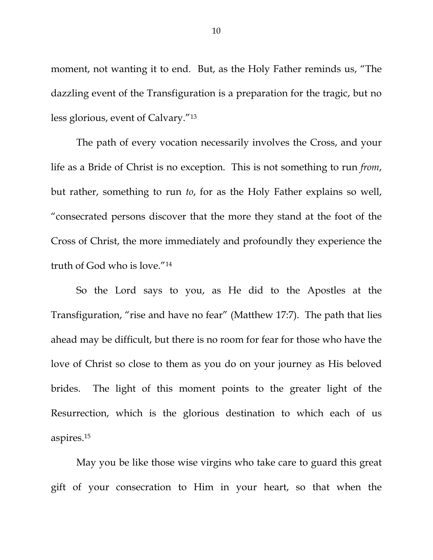moment, not wanting it to end. But, as the Holy Father reminds us, "The dazzling event of the Transfiguration is a preparation for the tragic, but no less glorious, event of Calvary."13

The path of every vocation necessarily involves the Cross, and your life as a Bride of Christ is no exception. This is not something to run *from*, but rather, something to run *to*, for as the Holy Father explains so well, "consecrated persons discover that the more they stand at the foot of the Cross of Christ, the more immediately and profoundly they experience the truth of God who is love."14

So the Lord says to you, as He did to the Apostles at the Transfiguration, "rise and have no fear" (Matthew 17:7). The path that lies ahead may be difficult, but there is no room for fear for those who have the love of Christ so close to them as you do on your journey as His beloved brides. The light of this moment points to the greater light of the Resurrection, which is the glorious destination to which each of us aspires.15

May you be like those wise virgins who take care to guard this great gift of your consecration to Him in your heart, so that when the